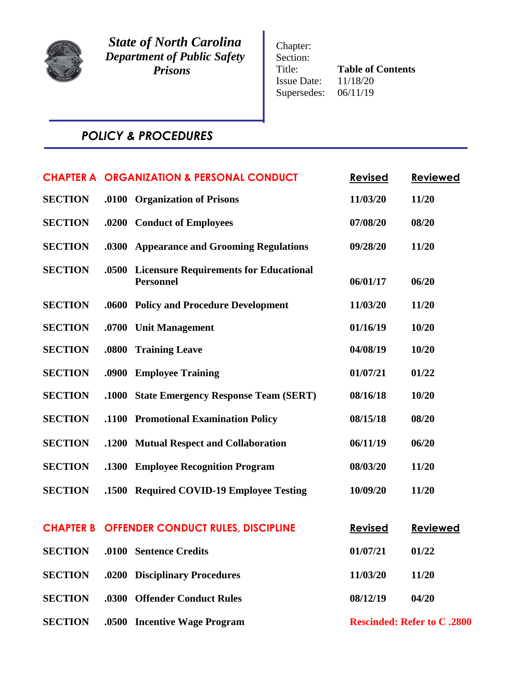

*State of North Carolina Department of Public Safety Prisons*

Chapter: Section: Title: **Table of Contents**<br>Issue Date:  $11/18/20$ Issue Date: 11/18/20<br>Supersedes: 06/11/19 Supersedes:

# *POLICY & PROCEDURES*

|                |       | <b>CHAPTER A ORGANIZATION &amp; PERSONAL CONDUCT</b>              | <b>Revised</b> | <b>Reviewed</b>                    |
|----------------|-------|-------------------------------------------------------------------|----------------|------------------------------------|
| <b>SECTION</b> |       | .0100 Organization of Prisons                                     | 11/03/20       | 11/20                              |
| <b>SECTION</b> |       | .0200 Conduct of Employees                                        | 07/08/20       | 08/20                              |
| <b>SECTION</b> |       | .0300 Appearance and Grooming Regulations                         | 09/28/20       | 11/20                              |
| <b>SECTION</b> | .0500 | <b>Licensure Requirements for Educational</b><br><b>Personnel</b> | 06/01/17       | 06/20                              |
| <b>SECTION</b> |       | .0600 Policy and Procedure Development                            | 11/03/20       | 11/20                              |
| <b>SECTION</b> | .0700 | <b>Unit Management</b>                                            | 01/16/19       | 10/20                              |
| <b>SECTION</b> | .0800 | <b>Training Leave</b>                                             | 04/08/19       | 10/20                              |
| <b>SECTION</b> |       | .0900 Employee Training                                           | 01/07/21       | 01/22                              |
| <b>SECTION</b> | .1000 | <b>State Emergency Response Team (SERT)</b>                       | 08/16/18       | 10/20                              |
| <b>SECTION</b> |       | .1100 Promotional Examination Policy                              | 08/15/18       | 08/20                              |
| <b>SECTION</b> |       | .1200 Mutual Respect and Collaboration                            | 06/11/19       | 06/20                              |
| <b>SECTION</b> |       | .1300 Employee Recognition Program                                | 08/03/20       | 11/20                              |
| <b>SECTION</b> |       | .1500 Required COVID-19 Employee Testing                          | 10/09/20       | 11/20                              |
|                |       | <b>CHAPTER B OFFENDER CONDUCT RULES, DISCIPLINE</b>               | <b>Revised</b> | <b>Reviewed</b>                    |
| <b>SECTION</b> |       | .0100 Sentence Credits                                            | 01/07/21       | 01/22                              |
| <b>SECTION</b> |       | .0200 Disciplinary Procedures                                     | 11/03/20       | 11/20                              |
| <b>SECTION</b> |       | .0300 Offender Conduct Rules                                      | 08/12/19       | 04/20                              |
| <b>SECTION</b> |       | .0500 Incentive Wage Program                                      |                | <b>Rescinded: Refer to C .2800</b> |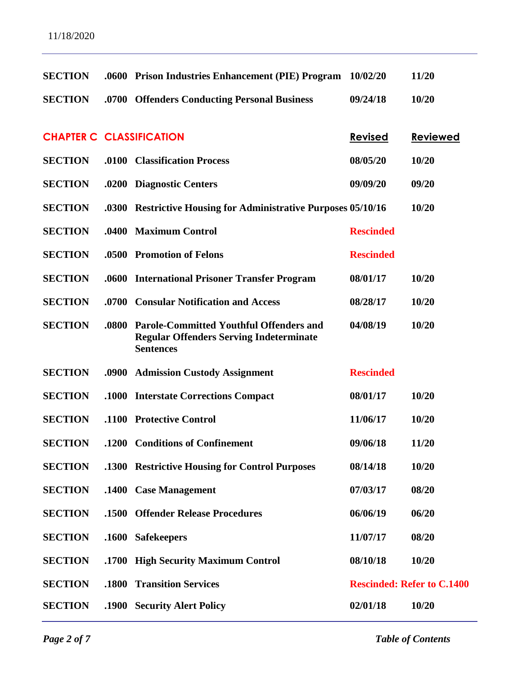| <b>SECTION</b>                  |       | .0600 Prison Industries Enhancement (PIE) Program 10/02/20                                                           |                  | 11/20                             |
|---------------------------------|-------|----------------------------------------------------------------------------------------------------------------------|------------------|-----------------------------------|
| <b>SECTION</b>                  |       | .0700 Offenders Conducting Personal Business                                                                         | 09/24/18         | 10/20                             |
|                                 |       |                                                                                                                      |                  |                                   |
| <b>CHAPTER C CLASSIFICATION</b> |       |                                                                                                                      | <b>Revised</b>   | <b>Reviewed</b>                   |
| <b>SECTION</b>                  |       | .0100 Classification Process                                                                                         | 08/05/20         | 10/20                             |
| <b>SECTION</b>                  |       | .0200 Diagnostic Centers                                                                                             | 09/09/20         | 09/20                             |
| <b>SECTION</b>                  |       | .0300 Restrictive Housing for Administrative Purposes 05/10/16                                                       |                  | 10/20                             |
| <b>SECTION</b>                  |       | .0400 Maximum Control                                                                                                | <b>Rescinded</b> |                                   |
| <b>SECTION</b>                  |       | .0500 Promotion of Felons                                                                                            | <b>Rescinded</b> |                                   |
| <b>SECTION</b>                  |       | .0600 International Prisoner Transfer Program                                                                        | 08/01/17         | 10/20                             |
| <b>SECTION</b>                  |       | .0700 Consular Notification and Access                                                                               | 08/28/17         | 10/20                             |
| <b>SECTION</b>                  | .0800 | <b>Parole-Committed Youthful Offenders and</b><br><b>Regular Offenders Serving Indeterminate</b><br><b>Sentences</b> | 04/08/19         | 10/20                             |
| <b>SECTION</b>                  |       | .0900 Admission Custody Assignment                                                                                   | <b>Rescinded</b> |                                   |
| <b>SECTION</b>                  |       | .1000 Interstate Corrections Compact                                                                                 | 08/01/17         | 10/20                             |
| <b>SECTION</b>                  |       | .1100 Protective Control                                                                                             | 11/06/17         | 10/20                             |
| <b>SECTION</b>                  |       | .1200 Conditions of Confinement                                                                                      | 09/06/18         | 11/20                             |
| <b>SECTION</b>                  |       | .1300 Restrictive Housing for Control Purposes                                                                       | 08/14/18         | 10/20                             |
| <b>SECTION</b>                  |       | .1400 Case Management                                                                                                | 07/03/17         | 08/20                             |
| <b>SECTION</b>                  | .1500 | <b>Offender Release Procedures</b>                                                                                   | 06/06/19         | 06/20                             |
| <b>SECTION</b>                  |       | .1600 Safekeepers                                                                                                    | 11/07/17         | 08/20                             |
| <b>SECTION</b>                  |       | .1700 High Security Maximum Control                                                                                  | 08/10/18         | 10/20                             |
| <b>SECTION</b>                  | .1800 | <b>Transition Services</b>                                                                                           |                  | <b>Rescinded: Refer to C.1400</b> |
| <b>SECTION</b>                  |       | .1900 Security Alert Policy                                                                                          | 02/01/18         | 10/20                             |

*Page 2 of 7 Table of Contents*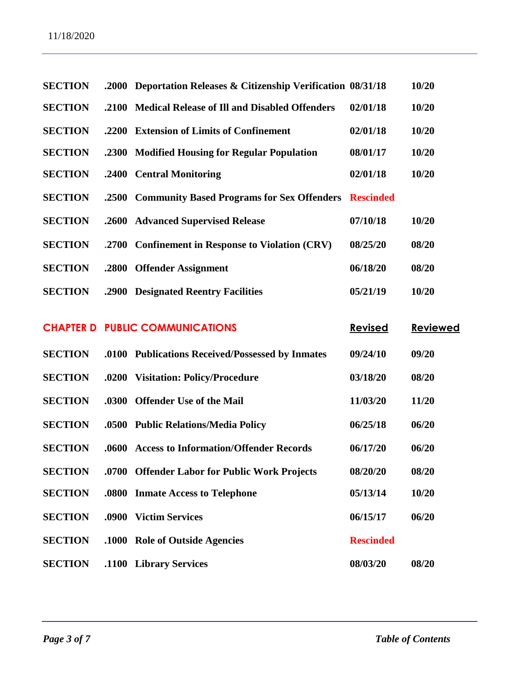| <b>SECTION</b>   | .2000 | Deportation Releases & Citizenship Verification 08/31/18 |                  | 10/20           |
|------------------|-------|----------------------------------------------------------|------------------|-----------------|
| <b>SECTION</b>   | .2100 | <b>Medical Release of Ill and Disabled Offenders</b>     | 02/01/18         | 10/20           |
| <b>SECTION</b>   | .2200 | <b>Extension of Limits of Confinement</b>                | 02/01/18         | 10/20           |
| <b>SECTION</b>   | .2300 | <b>Modified Housing for Regular Population</b>           | 08/01/17         | 10/20           |
| <b>SECTION</b>   | .2400 | <b>Central Monitoring</b>                                | 02/01/18         | 10/20           |
| <b>SECTION</b>   | .2500 | <b>Community Based Programs for Sex Offenders</b>        | <b>Rescinded</b> |                 |
| <b>SECTION</b>   | .2600 | <b>Advanced Supervised Release</b>                       | 07/10/18         | 10/20           |
| <b>SECTION</b>   | .2700 | <b>Confinement in Response to Violation (CRV)</b>        | 08/25/20         | 08/20           |
| <b>SECTION</b>   | .2800 | <b>Offender Assignment</b>                               | 06/18/20         | 08/20           |
| <b>SECTION</b>   | .2900 | <b>Designated Reentry Facilities</b>                     | 05/21/19         | 10/20           |
| <b>CHAPTER D</b> |       | <b>PUBLIC COMMUNICATIONS</b>                             | <b>Revised</b>   | <b>Reviewed</b> |
| <b>SECTION</b>   |       | .0100 Publications Received/Possessed by Inmates         | 09/24/10         | 09/20           |
| <b>SECTION</b>   | .0200 | <b>Visitation: Policy/Procedure</b>                      | 03/18/20         | 08/20           |
| <b>SECTION</b>   | .0300 | <b>Offender Use of the Mail</b>                          | 11/03/20         | 11/20           |
| <b>SECTION</b>   | .0500 | <b>Public Relations/Media Policy</b>                     | 06/25/18         | 06/20           |
| <b>SECTION</b>   | .0600 | <b>Access to Information/Offender Records</b>            | 06/17/20         | 06/20           |
| <b>SECTION</b>   |       | .0700 Offender Labor for Public Work Projects            | 08/20/20         | 08/20           |
| <b>SECTION</b>   | .0800 | <b>Inmate Access to Telephone</b>                        | 05/13/14         | 10/20           |
| <b>SECTION</b>   | .0900 | <b>Victim Services</b>                                   | 06/15/17         | 06/20           |
| <b>SECTION</b>   |       | .1000 Role of Outside Agencies                           | <b>Rescinded</b> |                 |
| <b>SECTION</b>   |       | .1100 Library Services                                   | 08/03/20         | 08/20           |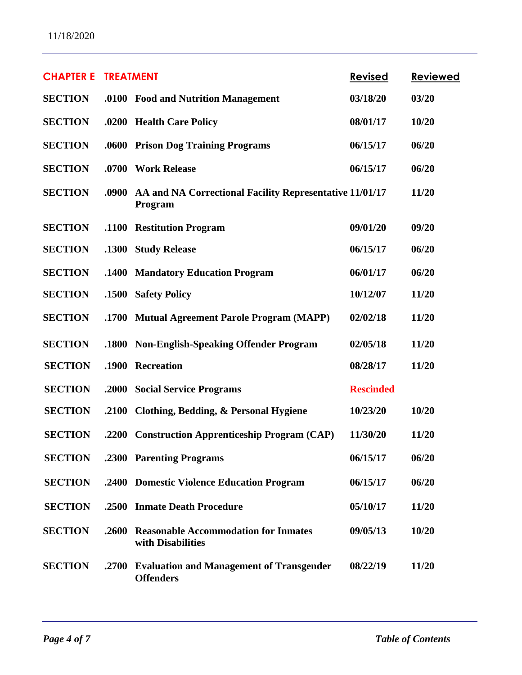| <b>CHAPTER E</b> | <b>TREATMENT</b> |                                                                     | <b>Revised</b>   | <b>Reviewed</b> |
|------------------|------------------|---------------------------------------------------------------------|------------------|-----------------|
| <b>SECTION</b>   |                  | .0100 Food and Nutrition Management                                 | 03/18/20         | 03/20           |
| <b>SECTION</b>   |                  | .0200 Health Care Policy                                            | 08/01/17         | 10/20           |
| <b>SECTION</b>   |                  | .0600 Prison Dog Training Programs                                  | 06/15/17         | 06/20           |
| <b>SECTION</b>   |                  | .0700 Work Release                                                  | 06/15/17         | 06/20           |
| <b>SECTION</b>   | .0900            | AA and NA Correctional Facility Representative 11/01/17<br>Program  |                  | 11/20           |
| <b>SECTION</b>   | .1100            | <b>Restitution Program</b>                                          | 09/01/20         | 09/20           |
| <b>SECTION</b>   | .1300            | <b>Study Release</b>                                                | 06/15/17         | 06/20           |
| <b>SECTION</b>   | .1400            | <b>Mandatory Education Program</b>                                  | 06/01/17         | 06/20           |
| <b>SECTION</b>   | .1500            | <b>Safety Policy</b>                                                | 10/12/07         | 11/20           |
| <b>SECTION</b>   | .1700            | <b>Mutual Agreement Parole Program (MAPP)</b>                       | 02/02/18         | 11/20           |
| <b>SECTION</b>   | .1800            | <b>Non-English-Speaking Offender Program</b>                        | 02/05/18         | 11/20           |
| <b>SECTION</b>   | .1900            | <b>Recreation</b>                                                   | 08/28/17         | 11/20           |
| <b>SECTION</b>   | .2000            | <b>Social Service Programs</b>                                      | <b>Rescinded</b> |                 |
| <b>SECTION</b>   | .2100            | Clothing, Bedding, & Personal Hygiene                               | 10/23/20         | 10/20           |
| <b>SECTION</b>   | .2200            | <b>Construction Apprenticeship Program (CAP)</b>                    | 11/30/20         | 11/20           |
| <b>SECTION</b>   |                  | .2300 Parenting Programs                                            | 06/15/17         | 06/20           |
| <b>SECTION</b>   |                  | .2400 Domestic Violence Education Program                           | 06/15/17         | 06/20           |
| <b>SECTION</b>   |                  | .2500 Inmate Death Procedure                                        | 05/10/17         | 11/20           |
| <b>SECTION</b>   | .2600            | <b>Reasonable Accommodation for Inmates</b><br>with Disabilities    | 09/05/13         | 10/20           |
| <b>SECTION</b>   | .2700            | <b>Evaluation and Management of Transgender</b><br><b>Offenders</b> | 08/22/19         | 11/20           |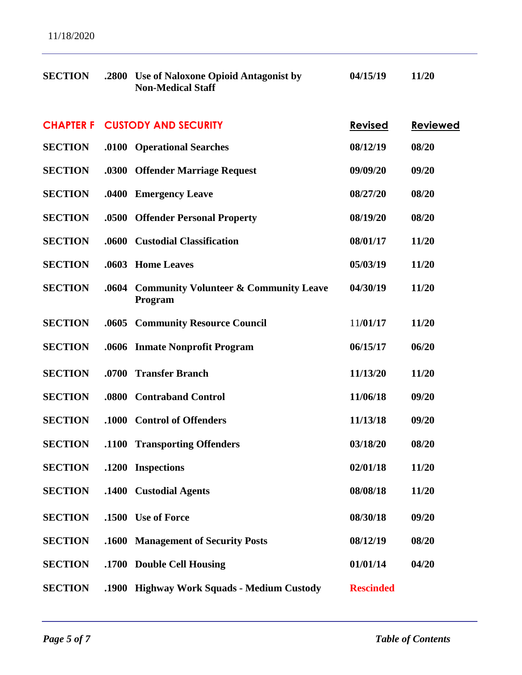| <b>SECTION</b>   | .2800 | <b>Use of Naloxone Opioid Antagonist by</b><br><b>Non-Medical Staff</b> | 04/15/19         | 11/20           |
|------------------|-------|-------------------------------------------------------------------------|------------------|-----------------|
| <b>CHAPTER F</b> |       | <b>CUSTODY AND SECURITY</b>                                             | <b>Revised</b>   | <b>Reviewed</b> |
| <b>SECTION</b>   |       | .0100 Operational Searches                                              | 08/12/19         | 08/20           |
| <b>SECTION</b>   |       | .0300 Offender Marriage Request                                         | 09/09/20         | 09/20           |
| <b>SECTION</b>   | .0400 | <b>Emergency Leave</b>                                                  | 08/27/20         | 08/20           |
| <b>SECTION</b>   | .0500 | <b>Offender Personal Property</b>                                       | 08/19/20         | 08/20           |
| <b>SECTION</b>   | .0600 | <b>Custodial Classification</b>                                         | 08/01/17         | 11/20           |
| <b>SECTION</b>   | .0603 | <b>Home Leaves</b>                                                      | 05/03/19         | 11/20           |
| <b>SECTION</b>   | .0604 | <b>Community Volunteer &amp; Community Leave</b><br>Program             | 04/30/19         | 11/20           |
| <b>SECTION</b>   |       | .0605 Community Resource Council                                        | 11/01/17         | 11/20           |
| <b>SECTION</b>   |       | .0606 Inmate Nonprofit Program                                          | 06/15/17         | 06/20           |
| <b>SECTION</b>   | .0700 | <b>Transfer Branch</b>                                                  | 11/13/20         | 11/20           |
| <b>SECTION</b>   | .0800 | <b>Contraband Control</b>                                               | 11/06/18         | 09/20           |
| <b>SECTION</b>   |       | .1000 Control of Offenders                                              | 11/13/18         | 09/20           |
| <b>SECTION</b>   |       | .1100 Transporting Offenders                                            | 03/18/20         | 08/20           |
| <b>SECTION</b>   | .1200 | <b>Inspections</b>                                                      | 02/01/18         | 11/20           |
| <b>SECTION</b>   | .1400 | <b>Custodial Agents</b>                                                 | 08/08/18         | 11/20           |
| <b>SECTION</b>   | .1500 | <b>Use of Force</b>                                                     | 08/30/18         | 09/20           |
| <b>SECTION</b>   | .1600 | <b>Management of Security Posts</b>                                     | 08/12/19         | 08/20           |
| <b>SECTION</b>   | .1700 | <b>Double Cell Housing</b>                                              | 01/01/14         | 04/20           |
| <b>SECTION</b>   | .1900 | <b>Highway Work Squads - Medium Custody</b>                             | <b>Rescinded</b> |                 |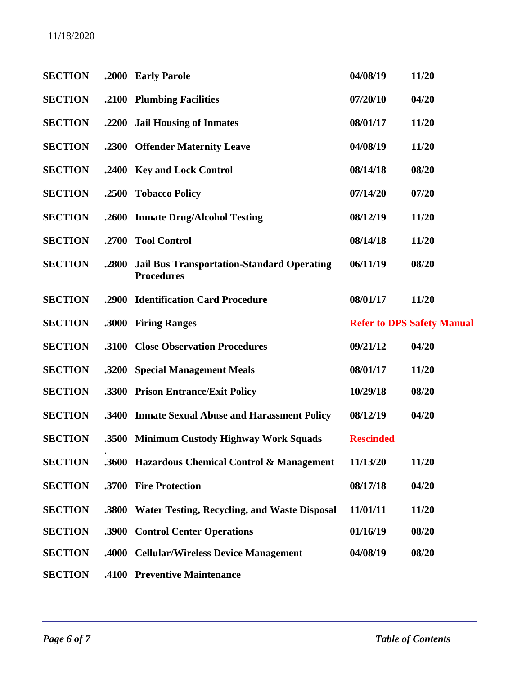| <b>SECTION</b> |       | .2000 Early Parole                                                     | 04/08/19         | 11/20                             |
|----------------|-------|------------------------------------------------------------------------|------------------|-----------------------------------|
| <b>SECTION</b> |       | .2100 Plumbing Facilities                                              | 07/20/10         | 04/20                             |
| <b>SECTION</b> |       | .2200 Jail Housing of Inmates                                          | 08/01/17         | 11/20                             |
| <b>SECTION</b> |       | .2300 Offender Maternity Leave                                         | 04/08/19         | 11/20                             |
| <b>SECTION</b> |       | .2400 Key and Lock Control                                             | 08/14/18         | 08/20                             |
| <b>SECTION</b> | .2500 | <b>Tobacco Policy</b>                                                  | 07/14/20         | 07/20                             |
| <b>SECTION</b> |       | .2600 Inmate Drug/Alcohol Testing                                      | 08/12/19         | 11/20                             |
| <b>SECTION</b> | .2700 | <b>Tool Control</b>                                                    | 08/14/18         | 11/20                             |
| <b>SECTION</b> | .2800 | <b>Jail Bus Transportation-Standard Operating</b><br><b>Procedures</b> | 06/11/19         | 08/20                             |
| <b>SECTION</b> | .2900 | <b>Identification Card Procedure</b>                                   | 08/01/17         | 11/20                             |
| <b>SECTION</b> | .3000 | <b>Firing Ranges</b>                                                   |                  | <b>Refer to DPS Safety Manual</b> |
| <b>SECTION</b> | .3100 | <b>Close Observation Procedures</b>                                    | 09/21/12         | 04/20                             |
| <b>SECTION</b> |       | .3200 Special Management Meals                                         | 08/01/17         | 11/20                             |
| <b>SECTION</b> |       | .3300 Prison Entrance/Exit Policy                                      | 10/29/18         | 08/20                             |
| <b>SECTION</b> |       | .3400 Inmate Sexual Abuse and Harassment Policy                        | 08/12/19         | 04/20                             |
| <b>SECTION</b> |       | .3500 Minimum Custody Highway Work Squads                              | <b>Rescinded</b> |                                   |
| <b>SECTION</b> |       | .3600 Hazardous Chemical Control & Management                          | 11/13/20         | 11/20                             |
| <b>SECTION</b> |       | .3700 Fire Protection                                                  | 08/17/18         | 04/20                             |
| <b>SECTION</b> | .3800 | <b>Water Testing, Recycling, and Waste Disposal</b>                    | 11/01/11         | 11/20                             |
| <b>SECTION</b> | .3900 | <b>Control Center Operations</b>                                       | 01/16/19         | 08/20                             |
| <b>SECTION</b> | .4000 | <b>Cellular/Wireless Device Management</b>                             | 04/08/19         | 08/20                             |
| <b>SECTION</b> |       | .4100 Preventive Maintenance                                           |                  |                                   |